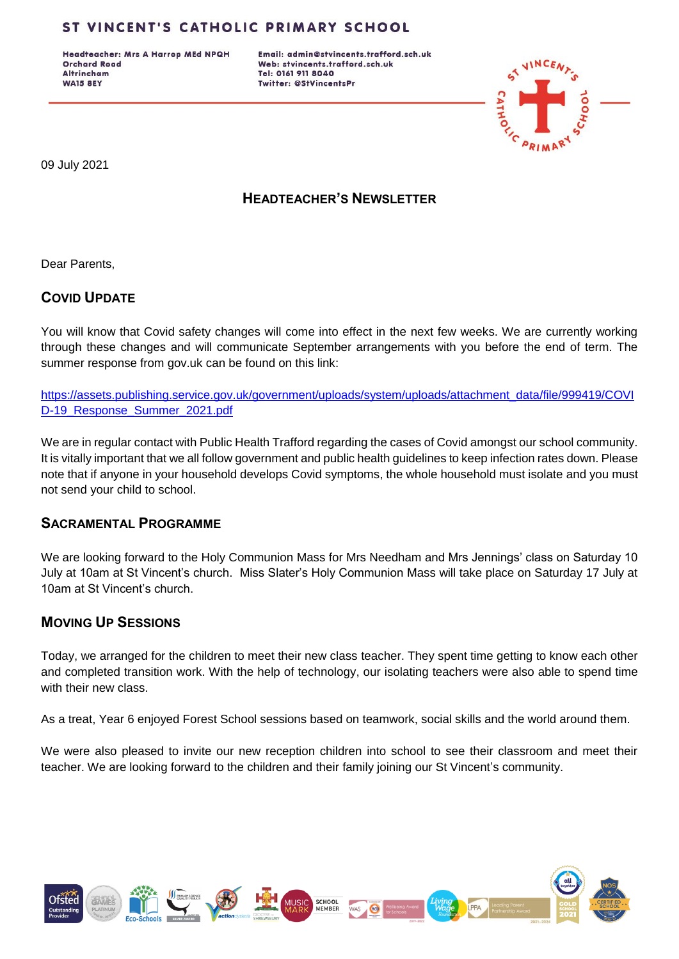Headteacher: Mrs A Harrop MEd NPQH **Orchard Road Altrincham WA15 8EY** 

Email: admin@stvincents.trafford.sch.uk Web: stvincents.trafford.sch.uk Tel: 0161 911 8040 Twitter: @StVincentsPr



09 July 2021

# **HEADTEACHER'S NEWSLETTER**

Dear Parents,

# **COVID UPDATE**

You will know that Covid safety changes will come into effect in the next few weeks. We are currently working through these changes and will communicate September arrangements with you before the end of term. The summer response from gov.uk can be found on this link:

[https://assets.publishing.service.gov.uk/government/uploads/system/uploads/attachment\\_data/file/999419/COVI](https://assets.publishing.service.gov.uk/government/uploads/system/uploads/attachment_data/file/999419/COVID-19_Response_Summer_2021.pdf) [D-19\\_Response\\_Summer\\_2021.pdf](https://assets.publishing.service.gov.uk/government/uploads/system/uploads/attachment_data/file/999419/COVID-19_Response_Summer_2021.pdf)

We are in regular contact with Public Health Trafford regarding the cases of Covid amongst our school community. It is vitally important that we all follow government and public health guidelines to keep infection rates down. Please note that if anyone in your household develops Covid symptoms, the whole household must isolate and you must not send your child to school.

#### **SACRAMENTAL PROGRAMME**

We are looking forward to the Holy Communion Mass for Mrs Needham and Mrs Jennings' class on Saturday 10 July at 10am at St Vincent's church. Miss Slater's Holy Communion Mass will take place on Saturday 17 July at 10am at St Vincent's church.

### **MOVING UP SESSIONS**

Today, we arranged for the children to meet their new class teacher. They spent time getting to know each other and completed transition work. With the help of technology, our isolating teachers were also able to spend time with their new class.

As a treat, Year 6 enjoyed Forest School sessions based on teamwork, social skills and the world around them.

We were also pleased to invite our new reception children into school to see their classroom and meet their teacher. We are looking forward to the children and their family joining our St Vincent's community.

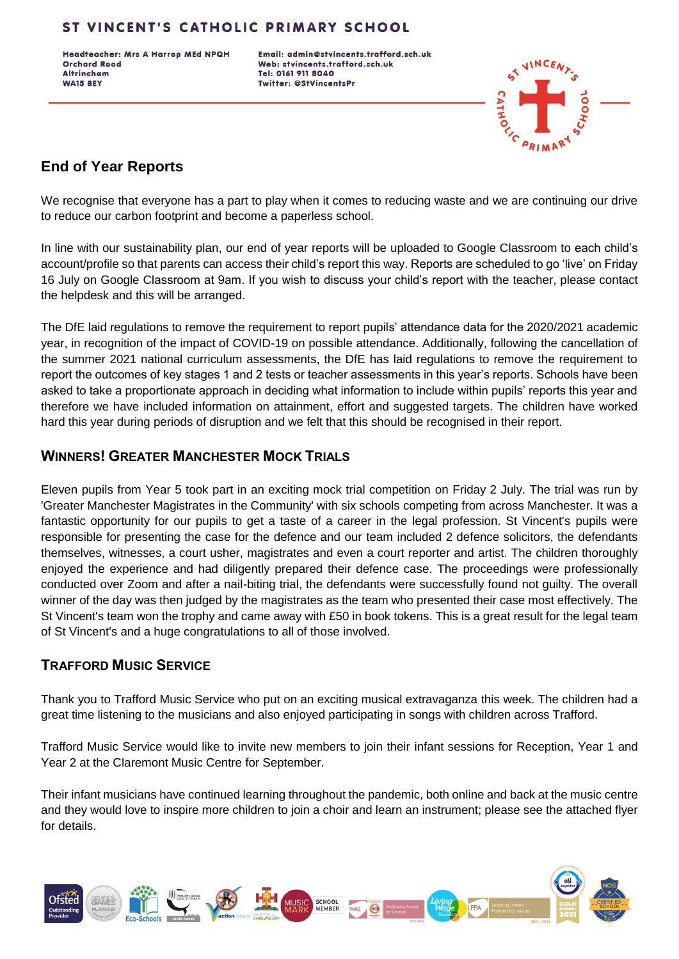Headteacher: Mrs A Harrop MEd NPQH **Orchard Road Altrincham WA15 8EY** 

Email: admin@stvincents.trafford.sch.uk Web: stvincents.trafford.sch.uk Tel: 0161 911 8040 **Twitter: @StVincentsPr** 



# **End of Year Reports**

We recognise that everyone has a part to play when it comes to reducing waste and we are continuing our drive to reduce our carbon footprint and become a paperless school.

In line with our sustainability plan, our end of year reports will be uploaded to Google Classroom to each child's account/profile so that parents can access their child's report this way. Reports are scheduled to go 'live' on Friday 16 July on Google Classroom at 9am. If you wish to discuss your child's report with the teacher, please contact the helpdesk and this will be arranged.

The DfE laid regulations to remove the requirement to report pupils' attendance data for the 2020/2021 academic year, in recognition of the impact of COVID-19 on possible attendance. Additionally, following the cancellation of the summer 2021 national curriculum assessments, the DfE has laid regulations to remove the requirement to report the outcomes of key stages 1 and 2 tests or teacher assessments in this year's reports. Schools have been asked to take a proportionate approach in deciding what information to include within pupils' reports this year and therefore we have included information on attainment, effort and suggested targets. The children have worked hard this year during periods of disruption and we felt that this should be recognised in their report.

### **WINNERS! GREATER MANCHESTER MOCK TRIALS**

Eleven pupils from Year 5 took part in an exciting mock trial competition on Friday 2 July. The trial was run by 'Greater Manchester Magistrates in the Community' with six schools competing from across Manchester. It was a fantastic opportunity for our pupils to get a taste of a career in the legal profession. St Vincent's pupils were responsible for presenting the case for the defence and our team included 2 defence solicitors, the defendants themselves, witnesses, a court usher, magistrates and even a court reporter and artist. The children thoroughly enjoyed the experience and had diligently prepared their defence case. The proceedings were professionally conducted over Zoom and after a nail-biting trial, the defendants were successfully found not guilty. The overall winner of the day was then judged by the magistrates as the team who presented their case most effectively. The St Vincent's team won the trophy and came away with £50 in book tokens. This is a great result for the legal team of St Vincent's and a huge congratulations to all of those involved.

### **TRAFFORD MUSIC SERVICE**

Thank you to Trafford Music Service who put on an exciting musical extravaganza this week. The children had a great time listening to the musicians and also enjoyed participating in songs with children across Trafford.

Trafford Music Service would like to invite new members to join their infant sessions for Reception, Year 1 and Year 2 at the Claremont Music Centre for September.

Their infant musicians have continued learning throughout the pandemic, both online and back at the music centre and they would love to inspire more children to join a choir and learn an instrument; please see the attached flyer for details.

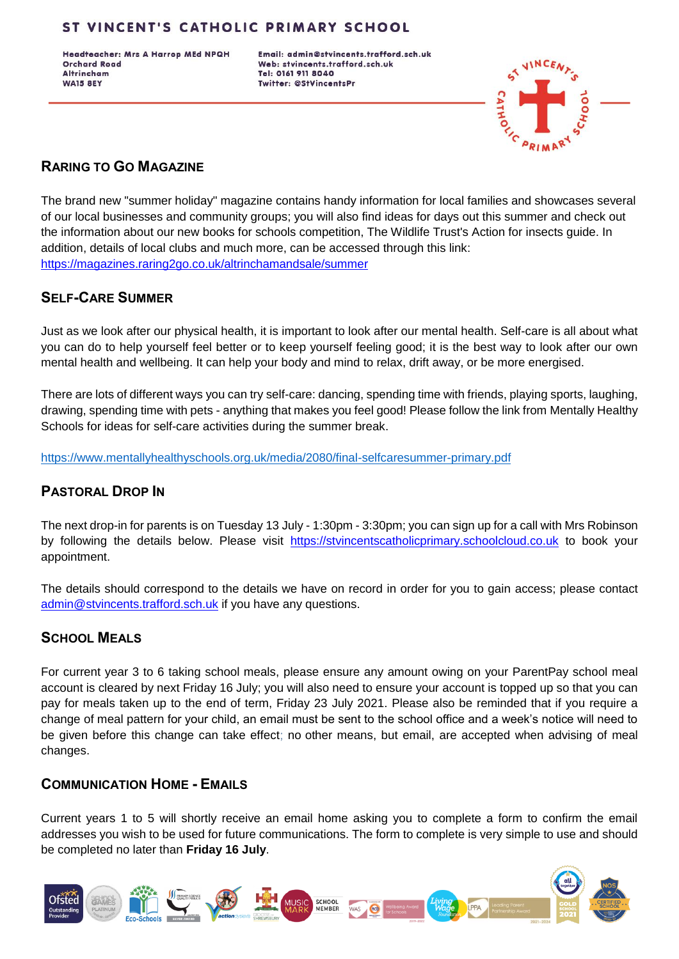Headteacher: Mrs A Harrop MEd NPQH **Orchard Road Altrincham WA15 8EY** 

Email: admin@stvincents.trafford.sch.uk Web: stvincents.trafford.sch.uk Tel: 0161 911 8040 **Twitter: @StVincentsPr** 



# **RARING TO GO MAGAZINE**

The brand new "summer holiday" magazine contains handy information for local families and showcases several of our local businesses and community groups; you will also find ideas for days out this summer and check out the information about our new books for schools competition, The Wildlife Trust's Action for insects guide. In addition, details of local clubs and much more, can be accessed through this link: <https://magazines.raring2go.co.uk/altrinchamandsale/summer>

### **SELF-CARE SUMMER**

Just as we look after our physical health, it is important to look after our mental health. Self-care is all about what you can do to help yourself feel better or to keep yourself feeling good; it is the best way to look after our own mental health and wellbeing. It can help your body and mind to relax, drift away, or be more energised.

There are lots of different ways you can try self-care: dancing, spending time with friends, playing sports, laughing, drawing, spending time with pets - anything that makes you feel good! Please follow the link from Mentally Healthy Schools for ideas for self-care activities during the summer break.

<https://www.mentallyhealthyschools.org.uk/media/2080/final-selfcaresummer-primary.pdf>

# **PASTORAL DROP IN**

The next drop-in for parents is on Tuesday 13 July - 1:30pm - 3:30pm; you can sign up for a call with Mrs Robinson by following the details below. Please visit [https://stvincentscatholicprimary.schoolcloud.co.uk](https://stvincentscatholicprimary.schoolcloud.co.uk/) to book your appointment.

The details should correspond to the details we have on record in order for you to gain access; please contact [admin@stvincents.trafford.sch.uk](mailto:admin@stvincents.trafford.sch.uk) if you have any questions.

### **SCHOOL MEALS**

For current year 3 to 6 taking school meals, please ensure any amount owing on your ParentPay school meal account is cleared by next Friday 16 July; you will also need to ensure your account is topped up so that you can pay for meals taken up to the end of term, Friday 23 July 2021. Please also be reminded that if you require a change of meal pattern for your child, an email must be sent to the school office and a week's notice will need to be given before this change can take effect; no other means, but email, are accepted when advising of meal changes.

### **COMMUNICATION HOME - EMAILS**

Current years 1 to 5 will shortly receive an email home asking you to complete a form to confirm the email addresses you wish to be used for future communications. The form to complete is very simple to use and should be completed no later than **Friday 16 July**.

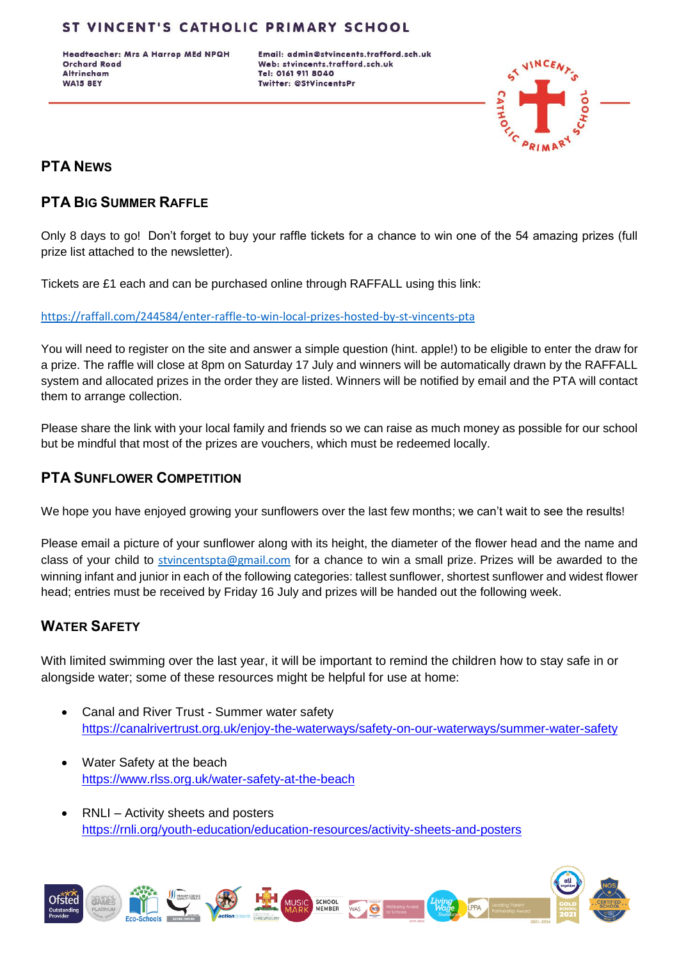Headteacher: Mrs A Harrop MEd NPQH **Orchard Road Altrincham WA15 8EY** 

Email: admin@stvincents.trafford.sch.uk Web: stvincents.trafford.sch.uk Tel: 0161 911 8040 **Twitter: @StVincentsPr** 



# **PTA NEWS**

### **PTA BIG SUMMER RAFFLE**

Only 8 days to go! Don't forget to buy your raffle tickets for a chance to win one of the 54 amazing prizes (full prize list attached to the newsletter).

Tickets are £1 each and can be purchased online through RAFFALL using this link:

<https://raffall.com/244584/enter-raffle-to-win-local-prizes-hosted-by-st-vincents-pta>

You will need to register on the site and answer a simple question (hint. apple!) to be eligible to enter the draw for a prize. The raffle will close at 8pm on Saturday 17 July and winners will be automatically drawn by the RAFFALL system and allocated prizes in the order they are listed. Winners will be notified by email and the PTA will contact them to arrange collection.

Please share the link with your local family and friends so we can raise as much money as possible for our school but be mindful that most of the prizes are vouchers, which must be redeemed locally.

### **PTA SUNFLOWER COMPETITION**

We hope you have enjoyed growing your sunflowers over the last few months; we can't wait to see the results!

Please email a picture of your sunflower along with its height, the diameter of the flower head and the name and class of your child to styincentspta@gmail.com for a chance to win a small prize. Prizes will be awarded to the winning infant and junior in each of the following categories: tallest sunflower, shortest sunflower and widest flower head; entries must be received by Friday 16 July and prizes will be handed out the following week.

# **WATER SAFETY**

With limited swimming over the last year, it will be important to remind the children how to stay safe in or alongside water; some of these resources might be helpful for use at home:

- Canal and River Trust Summer water safety <https://canalrivertrust.org.uk/enjoy-the-waterways/safety-on-our-waterways/summer-water-safety>
- Water Safety at the beach <https://www.rlss.org.uk/water-safety-at-the-beach>
- RNLI Activity sheets and posters <https://rnli.org/youth-education/education-resources/activity-sheets-and-posters>